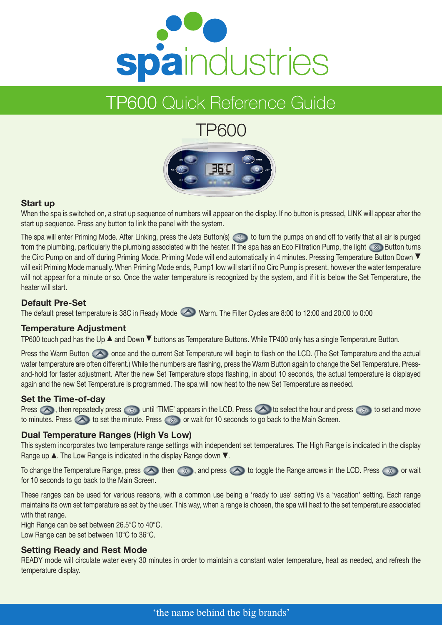

## TP600 Quick Reference Guide

# TP600



#### **Start up**

When the spa is switched on, a strat up sequence of numbers will appear on the display. If no button is pressed, LINK will appear after the start up sequence. Press any button to link the panel with the system.

The spa will enter Priming Mode. After Linking, press the Jets Button(s)  $\iff$  to turn the pumps on and off to verify that all air is purged from the plumbing, particularly the plumbing associated with the heater. If the spa has an Eco Filtration Pump, the light  $\otimes$  Button turns the Circ Pump on and off during Priming Mode. Priming Mode will end automatically in 4 minutes. Pressing Temperature Button Down  $\blacktriangledown$ will exit Priming Mode manually. When Priming Mode ends, Pump1 low will start if no Circ Pump is present, however the water temperature will not appear for a minute or so. Once the water temperature is recognized by the system, and if it is below the Set Temperature, the heater will start.

#### **Default Pre-Set**

The default preset temperature is 38C in Ready Mode Warm. The Filter Cycles are 8:00 to 12:00 and 20:00 to 0:00

#### **Temperature Adjustment**

TP600 touch pad has the Up  $\blacktriangle$  and Down  $\nabla$  buttons as Temperature Buttons. While TP400 only has a single Temperature Button.

Press the Warm Button  $\bigcirc$  once and the current Set Temperature will begin to flash on the LCD. (The Set Temperature and the actual water temperature are often different.) While the numbers are flashing, press the Warm Button again to change the Set Temperature. Pressand-hold for faster adjustment. After the new Set Temperature stops flashing, in about 10 seconds, the actual temperature is displayed again and the new Set Temperature is programmed. The spa will now heat to the new Set Temperature as needed.

#### **Set the Time-of-day**

Press  $\bigcirc$ , then repeatedly press  $\circ$  intil 'TIME' appears in the LCD. Press  $\bigcirc$  to select the hour and press  $\circ$  to set and move to minutes. Press  $\bigcirc$  to set the minute. Press  $\bigcirc$  or wait for 10 seconds to go back to the Main Screen.

#### **Dual Temperature Ranges (High Vs Low)**

This system incorporates two temperature range settings with independent set temperatures. The High Range is indicated in the display Range up  $\blacktriangle$ . The Low Range is indicated in the display Range down  $\nabla$ .

To change the Temperature Range, press  $\bigcirc$  then  $\circ$  , and press  $\bigcirc$  to toggle the Range arrows in the LCD. Press  $\circ$  or wait for 10 seconds to go back to the Main Screen.

These ranges can be used for various reasons, with a common use being a 'ready to use' setting Vs a 'vacation' setting. Each range maintains its own set temperature as set by the user. This way, when a range is chosen, the spa will heat to the set temperature associated with that range.

High Range can be set between 26.5°C to 40°C. Low Range can be set between 10°C to 36°C.

#### **Setting Ready and Rest Mode**

READY mode will circulate water every 30 minutes in order to maintain a constant water temperature, heat as needed, and refresh the temperature display.